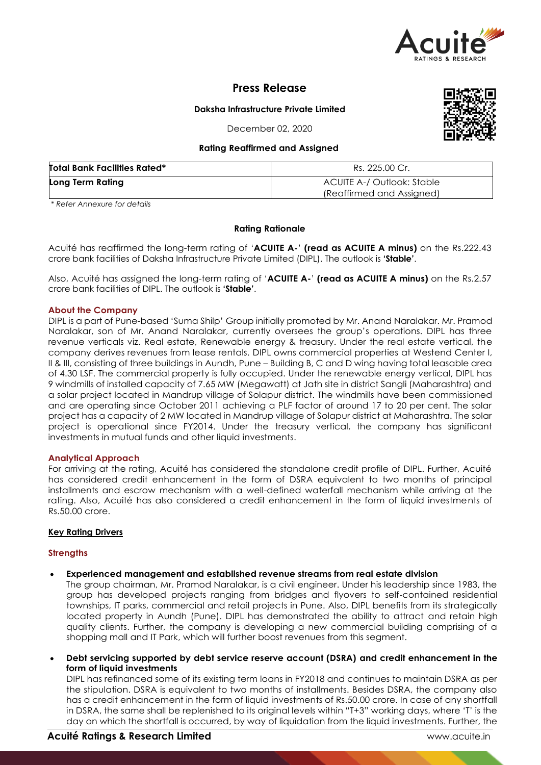

# **Press Release**

# **Daksha Infrastructure Private Limited**

December 02, 2020

#### **Rating Reaffirmed and Assigned**

| <b>Total Bank Facilities Rated*</b> | Rs. 225.00 Cr.                                          |  |  |
|-------------------------------------|---------------------------------------------------------|--|--|
| Long Term Rating                    | ACUITE A-/ Outlook: Stable<br>(Reaffirmed and Assigned) |  |  |

*\* Refer Annexure for details*

# **Rating Rationale**

Acuité has reaffirmed the long-term rating of '**ACUITE A-**' **(read as ACUITE A minus)** on the Rs.222.43 crore bank facilities of Daksha Infrastructure Private Limited (DIPL). The outlook is **'Stable'**.

Also, Acuité has assigned the long-term rating of '**ACUITE A-**' **(read as ACUITE A minus)** on the Rs.2.57 crore bank facilities of DIPL. The outlook is **'Stable'**.

#### **About the Company**

DIPL is a part of Pune-based 'Suma Shilp' Group initially promoted by Mr. Anand Naralakar. Mr. Pramod Naralakar, son of Mr. Anand Naralakar, currently oversees the group's operations. DIPL has three revenue verticals viz. Real estate, Renewable energy & treasury. Under the real estate vertical, the company derives revenues from lease rentals. DIPL owns commercial properties at Westend Center I, II & III, consisting of three buildings in Aundh, Pune – Building B, C and D wing having total leasable area of 4.30 LSF. The commercial property is fully occupied. Under the renewable energy vertical, DIPL has 9 windmills of installed capacity of 7.65 MW (Megawatt) at Jath site in district Sangli (Maharashtra) and a solar project located in Mandrup village of Solapur district. The windmills have been commissioned and are operating since October 2011 achieving a PLF factor of around 17 to 20 per cent. The solar project has a capacity of 2 MW located in Mandrup village of Solapur district at Maharashtra. The solar project is operational since FY2014. Under the treasury vertical, the company has significant investments in mutual funds and other liquid investments.

#### **Analytical Approach**

For arriving at the rating, Acuité has considered the standalone credit profile of DIPL. Further, Acuité has considered credit enhancement in the form of DSRA equivalent to two months of principal installments and escrow mechanism with a well-defined waterfall mechanism while arriving at the rating. Also, Acuité has also considered a credit enhancement in the form of liquid investments of Rs.50.00 crore.

#### **Key Rating Drivers**

#### **Strengths**

**Experienced management and established revenue streams from real estate division**

The group chairman, Mr. Pramod Naralakar, is a civil engineer. Under his leadership since 1983, the group has developed projects ranging from bridges and flyovers to self-contained residential townships, IT parks, commercial and retail projects in Pune. Also, DIPL benefits from its strategically located property in Aundh (Pune). DIPL has demonstrated the ability to attract and retain high quality clients. Further, the company is developing a new commercial building comprising of a shopping mall and IT Park, which will further boost revenues from this segment.

 **Debt servicing supported by debt service reserve account (DSRA) and credit enhancement in the form of liquid investments**

DIPL has refinanced some of its existing term loans in FY2018 and continues to maintain DSRA as per the stipulation. DSRA is equivalent to two months of installments. Besides DSRA, the company also has a credit enhancement in the form of liquid investments of Rs.50.00 crore. In case of any shortfall in DSRA, the same shall be replenished to its original levels within "T+3" working days, where 'T' is the day on which the shortfall is occurred, by way of liquidation from the liquid investments. Further, the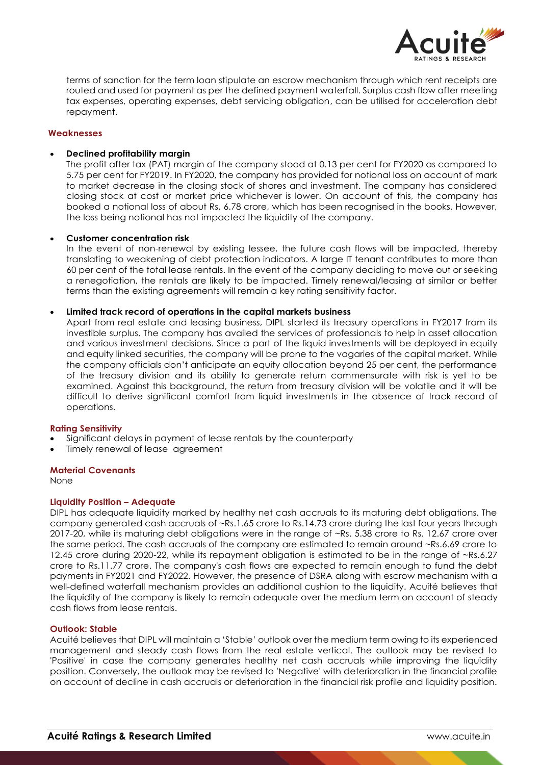

terms of sanction for the term loan stipulate an escrow mechanism through which rent receipts are routed and used for payment as per the defined payment waterfall. Surplus cash flow after meeting tax expenses, operating expenses, debt servicing obligation, can be utilised for acceleration debt repayment.

#### **Weaknesses**

# **Declined profitability margin**

The profit after tax (PAT) margin of the company stood at 0.13 per cent for FY2020 as compared to 5.75 per cent for FY2019. In FY2020, the company has provided for notional loss on account of mark to market decrease in the closing stock of shares and investment. The company has considered closing stock at cost or market price whichever is lower. On account of this, the company has booked a notional loss of about Rs. 6.78 crore, which has been recognised in the books. However, the loss being notional has not impacted the liquidity of the company.

# **Customer concentration risk**

In the event of non-renewal by existing lessee, the future cash flows will be impacted, thereby translating to weakening of debt protection indicators. A large IT tenant contributes to more than 60 per cent of the total lease rentals. In the event of the company deciding to move out or seeking a renegotiation, the rentals are likely to be impacted. Timely renewal/leasing at similar or better terms than the existing agreements will remain a key rating sensitivity factor.

# **Limited track record of operations in the capital markets business**

Apart from real estate and leasing business, DIPL started its treasury operations in FY2017 from its investible surplus. The company has availed the services of professionals to help in asset allocation and various investment decisions. Since a part of the liquid investments will be deployed in equity and equity linked securities, the company will be prone to the vagaries of the capital market. While the company officials don't anticipate an equity allocation beyond 25 per cent, the performance of the treasury division and its ability to generate return commensurate with risk is yet to be examined. Against this background, the return from treasury division will be volatile and it will be difficult to derive significant comfort from liquid investments in the absence of track record of operations.

#### **Rating Sensitivity**

- Significant delays in payment of lease rentals by the counterparty
- Timely renewal of lease agreement

#### **Material Covenants**

None

#### **Liquidity Position – Adequate**

DIPL has adequate liquidity marked by healthy net cash accruals to its maturing debt obligations. The company generated cash accruals of ~Rs.1.65 crore to Rs.14.73 crore during the last four years through 2017-20, while its maturing debt obligations were in the range of ~Rs. 5.38 crore to Rs. 12.67 crore over the same period. The cash accruals of the company are estimated to remain around ~Rs.6.69 crore to 12.45 crore during 2020-22, while its repayment obligation is estimated to be in the range of ~Rs.6.27 crore to Rs.11.77 crore. The company's cash flows are expected to remain enough to fund the debt payments in FY2021 and FY2022. However, the presence of DSRA along with escrow mechanism with a well-defined waterfall mechanism provides an additional cushion to the liquidity. Acuité believes that the liquidity of the company is likely to remain adequate over the medium term on account of steady cash flows from lease rentals.

#### **Outlook: Stable**

Acuité believes that DIPL will maintain a 'Stable' outlook over the medium term owing to its experienced management and steady cash flows from the real estate vertical. The outlook may be revised to 'Positive' in case the company generates healthy net cash accruals while improving the liquidity position. Conversely, the outlook may be revised to 'Negative' with deterioration in the financial profile on account of decline in cash accruals or deterioration in the financial risk profile and liquidity position.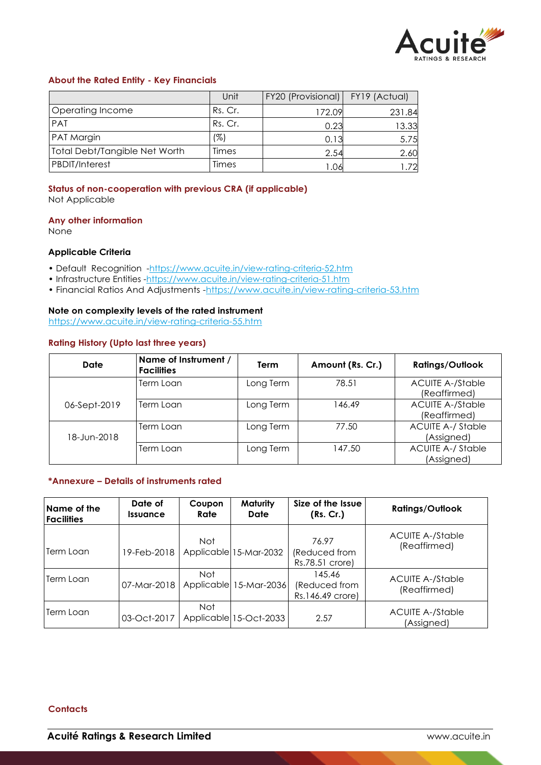

# **About the Rated Entity - Key Financials**

|                               | Unit    | FY20 (Provisional) | FY19 (Actual) |
|-------------------------------|---------|--------------------|---------------|
| Operating Income              | Rs. Cr. | 172.09             | 231.84        |
| PAT                           | Rs. Cr. | 0.23               | 13.33         |
| <b>PAT Margin</b>             | (%)     | 0.13               | 5.75          |
| Total Debt/Tangible Net Worth | Times   | 2.54               | 2.60          |
| <b>PBDIT/Interest</b>         | Times   | .06                | .72           |

# **Status of non-cooperation with previous CRA (if applicable)**

Not Applicable

#### **Any other information**

None

# **Applicable Criteria**

- Default Recognition -https://www.acuite.in/view-rating-criteria-52.htm
- Infrastructure Entities -https://www.acuite.in/view-rating-criteria-51.htm
- Financial Ratios And Adjustments -https://www.acuite.in/view-rating-criteria-53.htm

# **Note on complexity levels of the rated instrument**

https://www.acuite.in/view-rating-criteria-55.htm

# **Rating History (Upto last three years)**

| Date         | Name of Instrument /<br><b>Facilities</b> | Term      | Amount (Rs. Cr.) | <b>Ratings/Outlook</b>                  |
|--------------|-------------------------------------------|-----------|------------------|-----------------------------------------|
|              | Term Loan                                 | Long Term | 78.51            | <b>ACUITE A-/Stable</b><br>(Reaffirmed) |
| 06-Sept-2019 | Term Loan                                 | Long Term | 146.49           | <b>ACUITE A-/Stable</b><br>(Reaffirmed) |
| 18-Jun-2018  | Term Loan                                 | Long Term | 77.50            | <b>ACUITE A-/ Stable</b><br>(Assigned)  |
|              | Term Loan                                 | Long Term | 147.50           | <b>ACUITE A-/ Stable</b><br>(Assigned)  |

#### **\*Annexure – Details of instruments rated**

| Name of the<br><b>Facilities</b> | Date of<br><b>Issuance</b> | Coupon<br>Rate | Maturity<br>Date       | Size of the Issue<br>(Rs. Cr.)              | <b>Ratings/Outlook</b>                  |
|----------------------------------|----------------------------|----------------|------------------------|---------------------------------------------|-----------------------------------------|
| Term Loan                        | 19-Feb-2018                | <b>Not</b>     | Applicable 15-Mar-2032 | 76.97<br>(Reduced from<br>Rs.78.51 crore)   | <b>ACUITE A-/Stable</b><br>(Reaffirmed) |
| Term Loan                        | 07-Mar-2018                | Not.           | Applicable 15-Mar-2036 | 145.46<br>(Reduced from<br>Rs.146.49 crore) | <b>ACUITE A-/Stable</b><br>(Reaffirmed) |
| Term Loan                        | 03-Oct-2017                | Not            | Applicable 15-Oct-2033 | 2.57                                        | <b>ACUITE A-/Stable</b><br>(Assigned)   |

#### **Contacts**